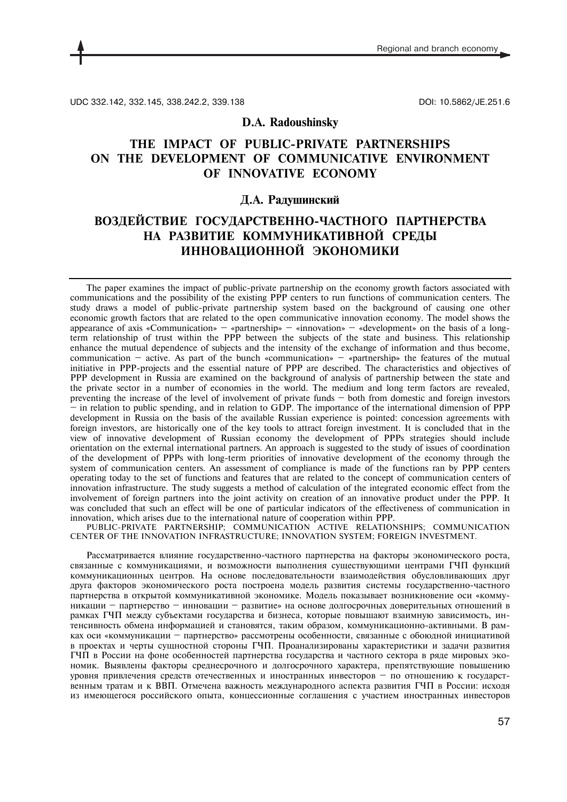UDC 332.142, 332.145, 338.242.2, 339.138 DOI: 10.5862/JE.251.6

# **D.A. Radoushinsky**

# **THE IMPACT OF PUBLIC-PRIVATE PARTNERSHIPS ON THE DEVELOPMENT OF COMMUNICATIVE ENVIRONMENT OF INNOVATIVE ECONOMY**

## **Д.А. Радушинский**

# **ВОЗДЕЙСТВИЕ ГОСУДАРСТВЕННО-ЧАСТНОГО ПАРТНЕРСТВА НА РАЗВИТИЕ КОММУНИКАТИВНОЙ СРЕДЫ ИННОВАЦИОННОЙ ЭКОНОМИКИ**

The paper examines the impact of public-private partnership on the economy growth factors associated with communications and the possibility of the existing PPP centers to run functions of communication centers. The study draws a model of public-private partnership system based on the background of causing one other economic growth factors that are related to the open communicative innovation economy. The model shows the appearance of axis «Communication» — «partnership» — «innovation» — «development» on the basis of a longterm relationship of trust within the PPP between the subjects of the state and business. This relationship enhance the mutual dependence of subjects and the intensity of the exchange of information and thus become, communication — active. As part of the bunch «communication» — «partnership» the features of the mutual initiative in PPP-projects and the essential nature of PPP are described. The characteristics and objectives of PPP development in Russia are examined on the background of analysis of partnership between the state and the private sector in a number of economies in the world. The medium and long term factors are revealed, preventing the increase of the level of involvement of private funds — both from domestic and foreign investors — in relation to public spending, and in relation to GDP. The importance of the international dimension of PPP development in Russia on the basis of the available Russian experience is pointed: concession agreements with foreign investors, are historically one of the key tools to attract foreign investment. It is concluded that in the view of innovative development of Russian economy the development of PPPs strategies should include orientation on the external international partners. An approach is suggested to the study of issues of coordination of the development of PPPs with long-term priorities of innovative development of the economy through the system of communication centers. An assessment of compliance is made of the functions ran by PPP centers operating today to the set of functions and features that are related to the concept of communication centers of innovation infrastructure. The study suggests a method of calculation of the integrated economic effect from the involvement of foreign partners into the joint activity on creation of an innovative product under the PPP. It was concluded that such an effect will be one of particular indicators of the effectiveness of communication in innovation, which arises due to the international nature of cooperation within PPP.

PUBLIC-PRIVATE PARTNERSHIP; COMMUNICATION ACTIVE RELATIONSHIPS; COMMUNICATION CENTER OF THE INNOVATION INFRASTRUCTURE; INNOVATION SYSTEM; FOREIGN INVESTMENT.

Рассматривается влияние государственно-частного партнерства на факторы экономического роста, связанные с коммуникациями, и возможности выполнения существующими центрами ГЧП функций коммуникационных центров. На основе последовательности взаимодействия обусловливающих друг друга факторов экономического роста построена модель развития системы государственно-частного партнерства в открытой коммуникативной экономике. Модель показывает возникновение оси «коммуникации — партнерство — инновации — развитие» на основе долгосрочных доверительных отношений в рамках ГЧП между субъектами государства и бизнеса, которые повышают взаимную зависимость, интенсивность обмена информацией и становятся, таким образом, коммуникационно-активными. В рамках оси «коммуникации — партнерство» рассмотрены особенности, связанные с обоюдной инициативой в проектах и черты сущностной стороны ГЧП. Проанализированы характеристики и задачи развития ГЧП в России на фоне особенностей партнерства государства и частного сектора в ряде мировых экономик. Выявлены факторы среднесрочного и долгосрочного характера, препятствующие повышению уровня привлечения средств отечественных и иностранных инвесторов — по отношению к государственным тратам и к ВВП. Отмечена важность международного аспекта развития ГЧП в России: исходя из имеющегося российского опыта, концессионные соглашения с участием иностранных инвесторов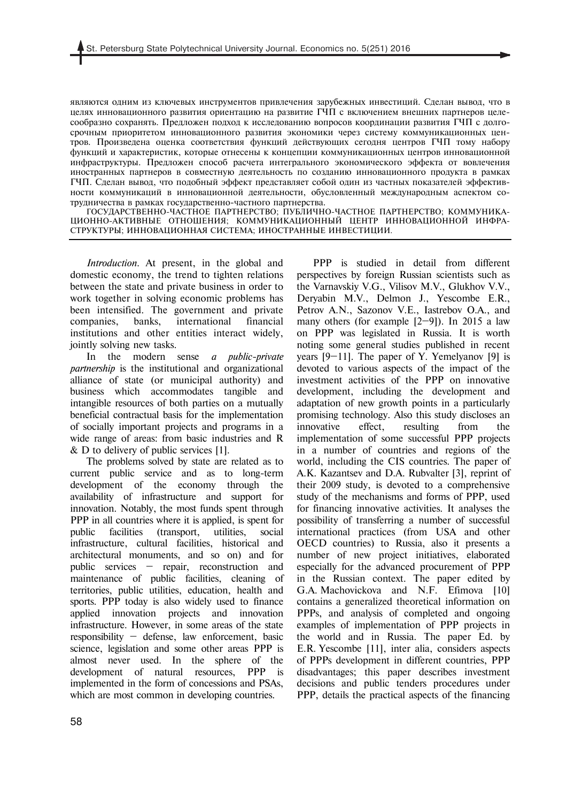являются одним из ключевых инструментов привлечения зарубежных инвестиций. Сделан вывод, что в целях инновационного развития ориентацию на развитие ГЧП с включением внешних партнеров целесообразно сохранять. Предложен подход к исследованию вопросов координации развития ГЧП с долгосрочным приоритетом инновационного развития экономики через систему коммуникационных центров. Произведена оценка соответствия функций действующих сегодня центров ГЧП тому набору функций и характеристик, которые отнесены к концепции коммуникационных центров инновационной инфраструктуры. Предложен способ расчета интегрального экономического эффекта от вовлечения иностранных партнеров в совместную деятельность по созданию инновационного продукта в рамках ГЧП. Сделан вывод, что подобный эффект представляет собой один из частных показателей эффективности коммуникаций в инновационной деятельности, обусловленный международным аспектом сотрудничества в рамках государственно-частного партнерства.

ГОСУДАРСТВЕННО-ЧАСТНОЕ ПАРТНЕРСТВО; ПУБЛИЧНО-ЧАСТНОЕ ПАРТНЕРСТВО; КОММУНИКА-ЦИОННО-АКТИВНЫЕ ОТНОШЕНИЯ; КОММУНИКАЦИОННЫЙ ЦЕНТР ИННОВАЦИОННОЙ ИНФРА-СТРУКТУРЫ; ИННОВАЦИОННАЯ СИСТЕМА; ИНОСТРАННЫЕ ИНВЕСТИЦИИ.

*Introduction.* At present, in the global and domestic economy, the trend to tighten relations between the state and private business in order to work together in solving economic problems has been intensified. The government and private companies, banks, international financial institutions and other entities interact widely, jointly solving new tasks.

In the modern sense *a public-private partnership* is the institutional and organizational alliance of state (or municipal authority) and business which accommodates tangible and intangible resources of both parties on a mutually beneficial contractual basis for the implementation of socially important projects and programs in a wide range of areas: from basic industries and R  $\&$  D to delivery of public services [1].

The problems solved by state are related as to current public service and as to long-term development of the economy through the availability of infrastructure and support for innovation. Notably, the most funds spent through PPP in all countries where it is applied, is spent for public facilities (transport, utilities, social infrastructure, cultural facilities, historical and architectural monuments, and so on) and for public services — repair, reconstruction and maintenance of public facilities, cleaning of territories, public utilities, education, health and sports. PPP today is also widely used to finance applied innovation projects and innovation infrastructure. However, in some areas of the state responsibility — defense, law enforcement, basic science, legislation and some other areas PPP is almost never used. In the sphere of the development of natural resources, PPP is implemented in the form of concessions and PSAs, which are most common in developing countries.

PPP is studied in detail from different perspectives by foreign Russian scientists such as the Varnavskiy V.G., Vilisov M.V., Glukhov V.V., Deryabin M.V., Delmon J., Yescombe E.R., Petrov A.N., Sazonov V.E., Iastrebov O.A., and many others (for example [2—9]). In 2015 a law on PPP was legislated in Russia. It is worth noting some general studies published in recent years [9—11]. The paper of Y. Yemelyanov [9] is devoted to various aspects of the impact of the investment activities of the PPP on innovative development, including the development and adaptation of new growth points in a particularly promising technology. Also this study discloses an innovative effect, resulting from the implementation of some successful PPP projects in a number of countries and regions of the world, including the CIS countries. The paper of A.K. Kazantsev and D.A. Rubvalter [3], reprint of their 2009 study, is devoted to a comprehensive study of the mechanisms and forms of PPP, used for financing innovative activities. It analyses the possibility of transferring a number of successful international practices (from USA and other OECD countries) to Russia, also it presents a number of new project initiatives, elaborated especially for the advanced procurement of PPP in the Russian context. The paper edited by G.A. Machovickova and N.F. Efimova [10] contains a generalized theoretical information on PPPs, and analysis of completed and ongoing examples of implementation of PPP projects in the world and in Russia. The paper Ed. by E.R. Yescombe [11], inter alia, considers aspects of PPPs development in different countries, PPP disadvantages; this paper describes investment decisions and public tenders procedures under PPP, details the practical aspects of the financing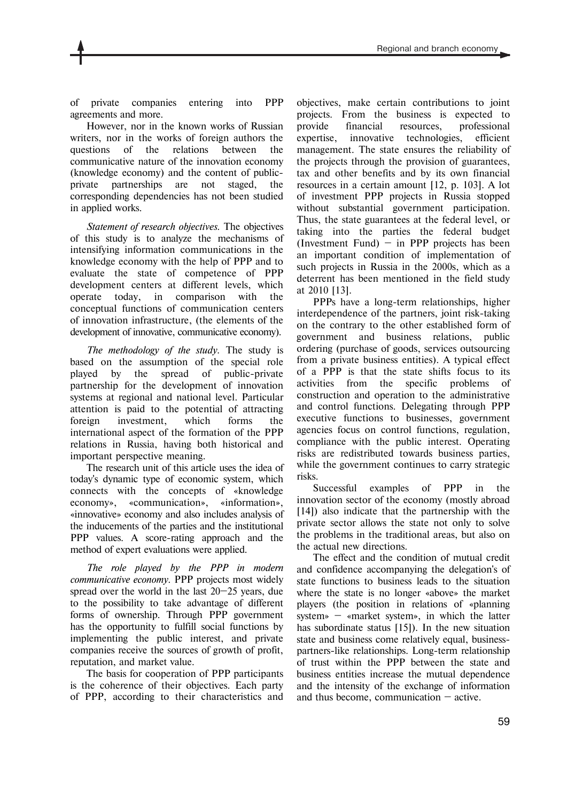of private companies entering into PPP agreements and more.

However, nor in the known works of Russian writers, nor in the works of foreign authors the questions of the relations between the communicative nature of the innovation economy (knowledge economy) and the content of publicprivate partnerships are not staged, the corresponding dependencies has not been studied in applied works.

*Statement of research objectives.* The objectives of this study is to analyze the mechanisms of intensifying information communications in the knowledge economy with the help of PPP and to evaluate the state of competence of PPP development centers at different levels, which operate today, in comparison with the conceptual functions of communication centers of innovation infrastructure, (the elements of the development of innovative, communicative economy).

*The methodology of the study.* The study is based on the assumption of the special role played by the spread of public-private partnership for the development of innovation systems at regional and national level. Particular attention is paid to the potential of attracting foreign investment, which forms the international aspect of the formation of the PPP relations in Russia, having both historical and important perspective meaning.

The research unit of this article uses the idea of today's dynamic type of economic system, which connects with the concepts of «knowledge economy», «communication», «information», «innovative» economy and also includes analysis of the inducements of the parties and the institutional PPP values. A score-rating approach and the method of expert evaluations were applied.

*The role played by the PPP in modern communicative economy.* PPP projects most widely spread over the world in the last 20—25 years, due to the possibility to take advantage of different forms of ownership. Through PPP government has the opportunity to fulfill social functions by implementing the public interest, and private companies receive the sources of growth of profit, reputation, and market value.

The basis for cooperation of PPP participants is the coherence of their objectives. Each party of PPP, according to their characteristics and objectives, make certain contributions to joint projects. From the business is expected to provide financial resources, professional expertise, innovative technologies, efficient management. The state ensures the reliability of the projects through the provision of guarantees, tax and other benefits and by its own financial resources in a certain amount [12, p. 103]. A lot of investment PPP projects in Russia stopped without substantial government participation. Thus, the state guarantees at the federal level, or taking into the parties the federal budget (Investment Fund)  $-$  in PPP projects has been an important condition of implementation of such projects in Russia in the 2000s, which as a deterrent has been mentioned in the field study at 2010 [13].

PPPs have a long-term relationships, higher interdependence of the partners, joint risk-taking on the contrary to the other established form of government and business relations, public ordering (purchase of goods, services outsourcing from a private business entities). A typical effect of a PPP is that the state shifts focus to its activities from the specific problems of construction and operation to the administrative and control functions. Delegating through PPP executive functions to businesses, government agencies focus on control functions, regulation, compliance with the public interest. Operating risks are redistributed towards business parties, while the government continues to carry strategic risks.

Successful examples of PPP in the innovation sector of the economy (mostly abroad [14]) also indicate that the partnership with the private sector allows the state not only to solve the problems in the traditional areas, but also on the actual new directions.

The effect and the condition of mutual credit and confidence accompanying the delegation's of state functions to business leads to the situation where the state is no longer «above» the market players (the position in relations of «planning system» — «market system», in which the latter has subordinate status [15]). In the new situation state and business come relatively equal, businesspartners-like relationships. Long-term relationship of trust within the PPP between the state and business entities increase the mutual dependence and the intensity of the exchange of information and thus become, communication  $-$  active.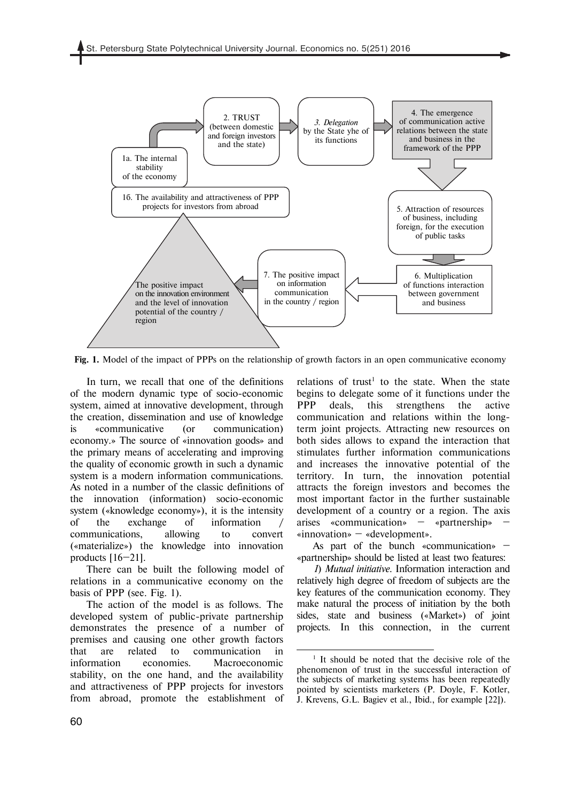

**Fig. 1.** Model of the impact of PPPs on the relationship of growth factors in an open communicative economy

<u>.</u>

In turn, we recall that one of the definitions of the modern dynamic type of socio-economic system, aimed at innovative development, through the creation, dissemination and use of knowledge is «communicative (or communication) economy.» The source of «innovation goods» and the primary means of accelerating and improving the quality of economic growth in such a dynamic system is a modern information communications. As noted in a number of the classic definitions of the innovation (information) socio-economic system («knowledge economy»), it is the intensity of the exchange of information communications, allowing to convert («materialize») the knowledge into innovation products  $[16-21]$ .

There can be built the following model of relations in a communicative economy on the basis of PPP (see. Fig. 1).

The action of the model is as follows. The developed system of public-private partnership demonstrates the presence of a number of premises and causing one other growth factors that are related to communication in information economies. Macroeconomic stability, on the one hand, and the availability and attractiveness of PPP projects for investors from abroad, promote the establishment of

relations of trust<sup>1</sup> to the state. When the state begins to delegate some of it functions under the PPP deals, this strengthens the active communication and relations within the longterm joint projects. Attracting new resources on both sides allows to expand the interaction that stimulates further information communications and increases the innovative potential of the territory. In turn, the innovation potential attracts the foreign investors and becomes the most important factor in the further sustainable development of a country or a region. The axis arises «communication» — «partnership» — «innovation» — «development».

As part of the bunch «communication» «partnership» should be listed at least two features:

*1*) *Mutual initiative*. Information interaction and relatively high degree of freedom of subjects are the key features of the communication economy. They make natural the process of initiation by the both sides, state and business («Market») of joint projects. In this connection, in the current

<sup>&</sup>lt;sup>1</sup> It should be noted that the decisive role of the phenomenon of trust in the successful interaction of the subjects of marketing systems has been repeatedly pointed by scientists marketers (P. Doyle, F. Kotler, J. Krevens, G.L. Bagiev et al., Ibid., for example [22]).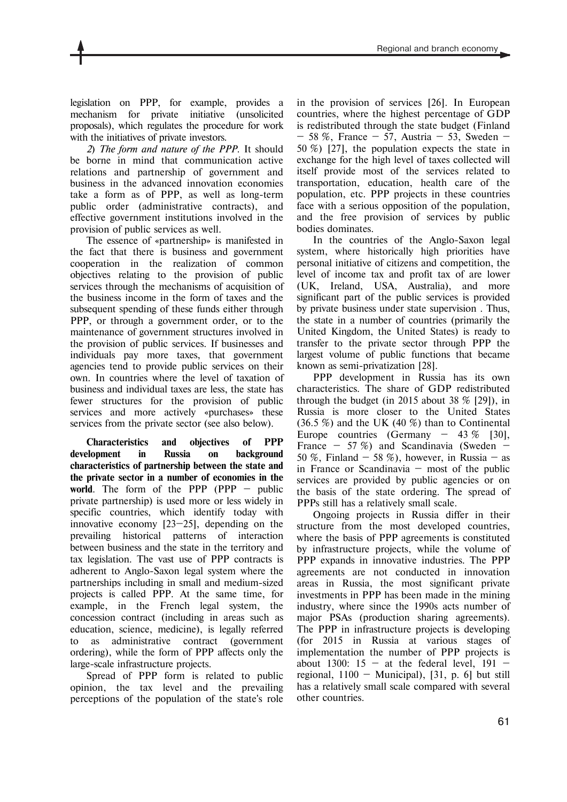legislation on PPP, for example, provides a mechanism for private initiative (unsolicited proposals), which regulates the procedure for work with the initiatives of private investors.

*2*) *The form and nature of the PPP*. It should be borne in mind that communication active relations and partnership of government and business in the advanced innovation economies take a form as of PPP, as well as long-term public order (administrative contracts), and effective government institutions involved in the provision of public services as well.

The essence of «partnership» is manifested in the fact that there is business and government cooperation in the realization of common objectives relating to the provision of public services through the mechanisms of acquisition of the business income in the form of taxes and the subsequent spending of these funds either through PPP, or through a government order, or to the maintenance of government structures involved in the provision of public services. If businesses and individuals pay more taxes, that government agencies tend to provide public services on their own. In countries where the level of taxation of business and individual taxes are less, the state has fewer structures for the provision of public services and more actively «purchases» these services from the private sector (see also below).

**Characteristics and objectives of PPP development in Russia on background characteristics of partnership between the state and the private sector in a number of economies in the world**. The form of the PPP (PPP — public private partnership) is used more or less widely in specific countries, which identify today with innovative economy [23—25], depending on the prevailing historical patterns of interaction between business and the state in the territory and tax legislation. The vast use of PPP contracts is adherent to Anglo-Saxon legal system where the partnerships including in small and medium-sized projects is called PPP. At the same time, for example, in the French legal system, the concession contract (including in areas such as education, science, medicine), is legally referred to as administrative contract (government ordering), while the form of PPP affects only the large-scale infrastructure projects.

Spread of PPP form is related to public opinion, the tax level and the prevailing perceptions of the population of the state's role

in the provision of services [26]. In European countries, where the highest percentage of GDP is redistributed through the state budget (Finland  $-58\%$ , France  $-57$ , Austria  $-53$ , Sweden  $-$ 50 %) [27], the population expects the state in exchange for the high level of taxes collected will itself provide most of the services related to transportation, education, health care of the population, etc. PPP projects in these countries face with a serious opposition of the population, and the free provision of services by public bodies dominates.

In the countries of the Anglo-Saxon legal system, where historically high priorities have personal initiative of citizens and competition, the level of income tax and profit tax of are lower (UK, Ireland, USA, Australia), and more significant part of the public services is provided by private business under state supervision . Thus, the state in a number of countries (primarily the United Kingdom, the United States) is ready to transfer to the private sector through PPP the largest volume of public functions that became known as semi-privatization [28].

PPP development in Russia has its own characteristics. The share of GDP redistributed through the budget (in 2015 about 38  $\%$  [29]), in Russia is more closer to the United States  $(36.5\%)$  and the UK  $(40\%)$  than to Continental Europe countries (Germany  $-43\%$  [30], France  $-57\%$  and Scandinavia (Sweden  $-$ 50 %, Finland  $-$  58 %), however, in Russia  $-$  as in France or Scandinavia  $-$  most of the public services are provided by public agencies or on the basis of the state ordering. The spread of PPPs still has a relatively small scale.

Ongoing projects in Russia differ in their structure from the most developed countries, where the basis of PPP agreements is constituted by infrastructure projects, while the volume of PPP expands in innovative industries. The PPP agreements are not conducted in innovation areas in Russia, the most significant private investments in PPP has been made in the mining industry, where since the 1990s acts number of major PSAs (production sharing agreements). The PPP in infrastructure projects is developing (for 2015 in Russia at various stages of implementation the number of PPP projects is about 1300:  $15 - at$  the federal level, 191 – regional,  $1100 -$  Municipal), [31, p. 6] but still has a relatively small scale compared with several other countries.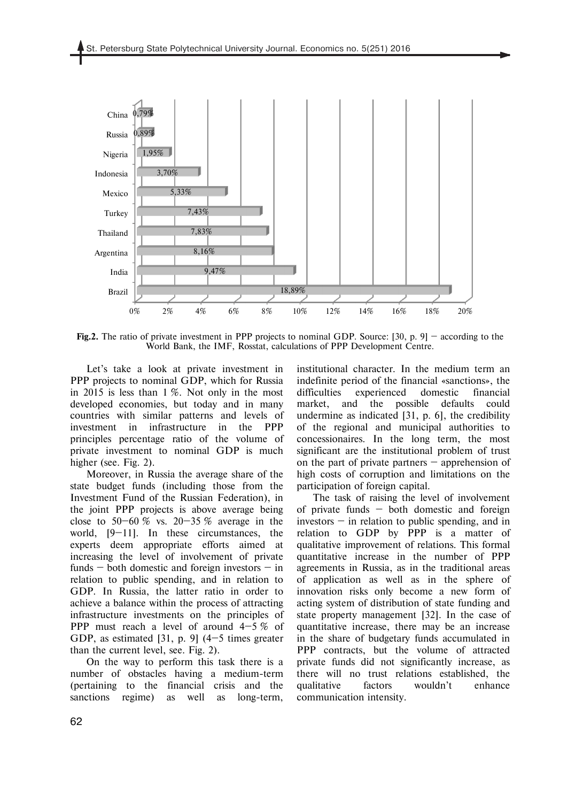

**Fig.2.** The ratio of private investment in PPP projects to nominal GDP. Source: [30, p. 9] – according to the World Bank, the IMF, Rosstat, calculations of PPP Development Centre.

Let's take a look at private investment in PPP projects to nominal GDP, which for Russia in 2015 is less than 1 %. Not only in the most developed economies, but today and in many countries with similar patterns and levels of investment in infrastructure in the PPP principles percentage ratio of the volume of private investment to nominal GDP is much higher (see. Fig. 2).

Moreover, in Russia the average share of the state budget funds (including those from the Investment Fund of the Russian Federation), in the joint PPP projects is above average being close to 50–60 % vs. 20–35 % average in the world, [9–11]. In these circumstances, the experts deem appropriate efforts aimed at increasing the level of involvement of private funds  $-$  both domestic and foreign investors  $-$  in relation to public spending, and in relation to GDP. In Russia, the latter ratio in order to achieve a balance within the process of attracting infrastructure investments on the principles of PPP must reach a level of around 4—5 % of GDP, as estimated [31, p. 9] (4—5 times greater than the current level, see. Fig. 2).

On the way to perform this task there is a number of obstacles having a medium-term (pertaining to the financial crisis and the sanctions regime) as well as long-term, institutional character. In the medium term an indefinite period of the financial «sanctions», the difficulties experienced domestic financial market, and the possible defaults could undermine as indicated [31, p. 6], the credibility of the regional and municipal authorities to concessionaires. In the long term, the most significant are the institutional problem of trust on the part of private partners — apprehension of high costs of corruption and limitations on the participation of foreign capital.

The task of raising the level of involvement of private funds  $-$  both domestic and foreign investors  $-$  in relation to public spending, and in relation to GDP by PPP is a matter of qualitative improvement of relations. This formal quantitative increase in the number of PPP agreements in Russia, as in the traditional areas of application as well as in the sphere of innovation risks only become a new form of acting system of distribution of state funding and state property management [32]. In the case of quantitative increase, there may be an increase in the share of budgetary funds accumulated in PPP contracts, but the volume of attracted private funds did not significantly increase, as there will no trust relations established, the qualitative factors wouldn't enhance communication intensity.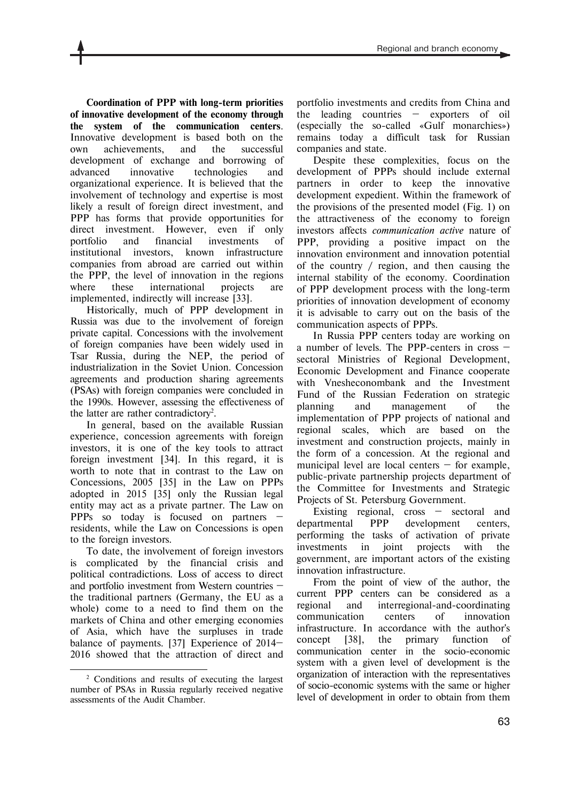**Coordination of PPP with long-term priorities of innovative development of the economy through the system of the communication centers**. Innovative development is based both on the own achievements, and the successful development of exchange and borrowing of advanced innovative technologies and organizational experience. It is believed that the involvement of technology and expertise is most likely a result of foreign direct investment, and PPP has forms that provide opportunities for direct investment. However, even if only portfolio and financial investments of institutional investors, known infrastructure companies from abroad are carried out within the PPP, the level of innovation in the regions where these international projects are implemented, indirectly will increase [33].

Historically, much of PPP development in Russia was due to the involvement of foreign private capital. Concessions with the involvement of foreign companies have been widely used in Tsar Russia, during the NEP, the period of industrialization in the Soviet Union. Concession agreements and production sharing agreements (PSAs) with foreign companies were concluded in the 1990s. However, assessing the effectiveness of the latter are rather contradictory<sup>2</sup>.

In general, based on the available Russian experience, concession agreements with foreign investors, it is one of the key tools to attract foreign investment [34]. In this regard, it is worth to note that in contrast to the Law on Concessions, 2005 [35] in the Law on PPPs adopted in 2015 [35] only the Russian legal entity may act as a private partner. The Law on PPPs so today is focused on partners residents, while the Law on Concessions is open to the foreign investors.

To date, the involvement of foreign investors is complicated by the financial crisis and political contradictions. Loss of access to direct and portfolio investment from Western countries the traditional partners (Germany, the EU as a whole) come to a need to find them on the markets of China and other emerging economies of Asia, which have the surpluses in trade balance of payments. [37] Experience of 2014— 2016 showed that the attraction of direct and portfolio investments and credits from China and the leading countries — exporters of oil (especially the so-called «Gulf monarchies») remains today a difficult task for Russian companies and state.

Despite these complexities, focus on the development of PPPs should include external partners in order to keep the innovative development expedient. Within the framework of the provisions of the presented model (Fig. 1) on the attractiveness of the economy to foreign investors affects *communication active* nature of PPP, providing a positive impact on the innovation environment and innovation potential of the country / region, and then causing the internal stability of the economy. Coordination of PPP development process with the long-term priorities of innovation development of economy it is advisable to carry out on the basis of the communication aspects of PPPs.

In Russia PPP centers today are working on a number of levels. The PPP-centers in cross sectoral Ministries of Regional Development, Economic Development and Finance cooperate with Vnesheconombank and the Investment Fund of the Russian Federation on strategic planning and management of the implementation of PPP projects of national and regional scales, which are based on the investment and construction projects, mainly in the form of a concession. At the regional and municipal level are local centers  $-$  for example, public-private partnership projects department of the Committee for Investments and Strategic Projects of St. Petersburg Government.

Existing regional, cross — sectoral and departmental PPP development centers, performing the tasks of activation of private investments in joint projects with the government, are important actors of the existing innovation infrastructure.

From the point of view of the author, the current PPP centers can be considered as a regional and interregional-and-coordinating communication centers of innovation infrastructure. In accordance with the author's concept [38], the primary function of communication center in the socio-economic system with a given level of development is the organization of interaction with the representatives of socio-economic systems with the same or higher level of development in order to obtain from them

l 2 Conditions and results of executing the largest number of PSAs in Russia regularly received negative assessments of the Audit Chamber.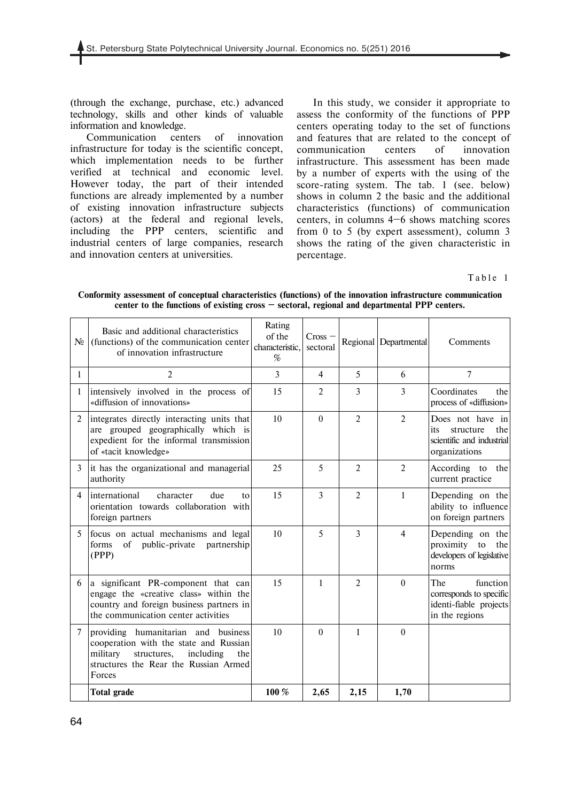(through the exchange, purchase, etc.) advanced technology, skills and other kinds of valuable information and knowledge.

Communication centers of innovation infrastructure for today is the scientific concept, which implementation needs to be further verified at technical and economic level. However today, the part of their intended functions are already implemented by a number of existing innovation infrastructure subjects (actors) at the federal and regional levels, including the PPP centers, scientific and industrial centers of large companies, research and innovation centers at universities.

In this study, we consider it appropriate to assess the conformity of the functions of PPP centers operating today to the set of functions and features that are related to the concept of communication centers of innovation infrastructure. This assessment has been made by a number of experts with the using of the score-rating system. The tab. 1 (see. below) shows in column 2 the basic and the additional characteristics (functions) of communication centers, in columns 4—6 shows matching scores from 0 to 5 (by expert assessment), column 3 shows the rating of the given characteristic in percentage.

Table 1

| Conformity assessment of conceptual characteristics (functions) of the innovation infrastructure communication |
|----------------------------------------------------------------------------------------------------------------|
| center to the functions of existing cross $-$ sectoral, regional and departmental PPP centers.                 |

| N <sub>2</sub> | Basic and additional characteristics<br>(functions) of the communication center<br>of innovation infrastructure                                                                 | Rating<br>of the<br>characteristic.<br>% | Cross<br>sectoral |                | Regional Departmental | Comments                                                                                  |  |
|----------------|---------------------------------------------------------------------------------------------------------------------------------------------------------------------------------|------------------------------------------|-------------------|----------------|-----------------------|-------------------------------------------------------------------------------------------|--|
| $\mathbf{1}$   | $\overline{2}$                                                                                                                                                                  | 3                                        | $\overline{4}$    | 5              | 6                     | $\overline{7}$                                                                            |  |
| 1              | intensively involved in the process of<br>«diffusion of innovations»                                                                                                            | 15                                       | $\overline{2}$    | 3              | 3                     | Coordinates<br>the<br>process of «diffusion»                                              |  |
| 2              | integrates directly interacting units that<br>are grouped geographically which is<br>expedient for the informal transmission<br>of «tacit knowledge»                            | 10                                       | $\Omega$          | $\overline{2}$ | $\overline{2}$        | Does not have in<br>structure<br>the<br>its<br>scientific and industrial<br>organizations |  |
| 3              | it has the organizational and managerial<br>authority                                                                                                                           | 25                                       | 5                 | $\overline{2}$ | $\overline{2}$        | According to the<br>current practice                                                      |  |
| $\overline{4}$ | international<br>character<br>due<br>tο<br>orientation towards collaboration with<br>foreign partners                                                                           | 15                                       | $\overline{3}$    | $\overline{2}$ | 1                     | Depending on the<br>ability to influence<br>on foreign partners                           |  |
| 5              | focus on actual mechanisms and legal<br>of<br>public-private<br>partnership<br>forms<br>(PPP)                                                                                   | 10                                       | 5                 | 3              | $\overline{4}$        | Depending on the<br>proximity to<br>the<br>developers of legislative<br>norms             |  |
| 6              | a significant PR-component that can<br>engage the «creative class» within the<br>country and foreign business partners in<br>the communication center activities                | 15                                       | $\mathbf{1}$      | $\overline{2}$ | $\Omega$              | function<br>The<br>corresponds to specific<br>identi-fiable projects<br>in the regions    |  |
| $\overline{7}$ | providing humanitarian and business<br>cooperation with the state and Russian<br>military<br>structures,<br>including<br>the<br>structures the Rear the Russian Armed<br>Forces | 10                                       | $\Omega$          | $\mathbf{1}$   | $\Omega$              |                                                                                           |  |
|                | <b>Total grade</b>                                                                                                                                                              | 100 %                                    | 2,65              | 2,15           | 1,70                  |                                                                                           |  |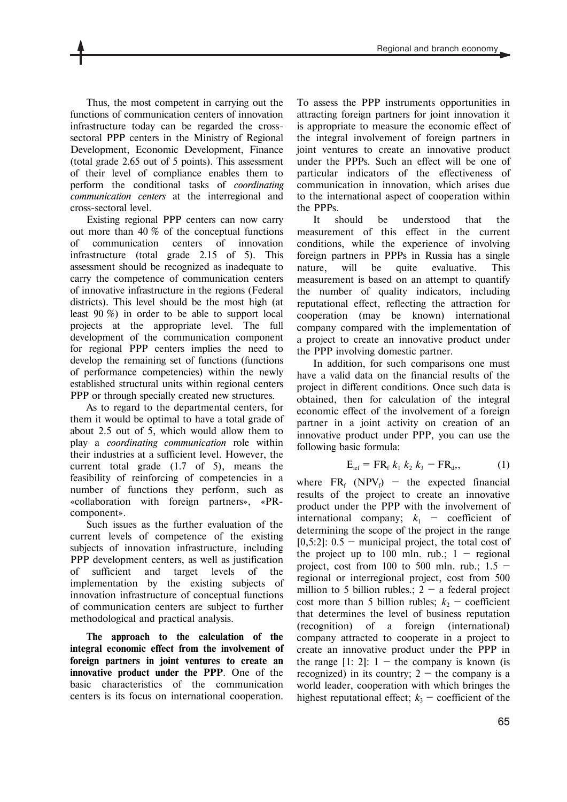Thus, the most competent in carrying out the functions of communication centers of innovation infrastructure today can be regarded the crosssectoral PPP centers in the Ministry of Regional Development, Economic Development, Finance (total grade 2.65 out of 5 points). This assessment of their level of compliance enables them to perform the conditional tasks of *coordinating communication centers* at the interregional and cross-sectoral level.

Existing regional PPP centers can now carry out more than 40 % of the conceptual functions of communication centers of innovation infrastructure (total grade 2.15 of 5). This assessment should be recognized as inadequate to carry the competence of communication centers of innovative infrastructure in the regions (Federal districts). This level should be the most high (at least 90 %) in order to be able to support local projects at the appropriate level. The full development of the communication component for regional PPP centers implies the need to develop the remaining set of functions (functions of performance competencies) within the newly established structural units within regional centers PPP or through specially created new structures.

As to regard to the departmental centers, for them it would be optimal to have a total grade of about 2.5 out of 5, which would allow them to play a *coordinating communication* role within their industries at a sufficient level. However, the current total grade (1.7 of 5), means the feasibility of reinforcing of competencies in a number of functions they perform, such as «collaboration with foreign partners», «PRcomponent».

Such issues as the further evaluation of the current levels of competence of the existing subjects of innovation infrastructure, including PPP development centers, as well as justification of sufficient and target levels of the implementation by the existing subjects of innovation infrastructure of conceptual functions of communication centers are subject to further methodological and practical analysis.

**The approach to the calculation of the integral economic effect from the involvement of foreign partners in joint ventures to create an innovative product under the PPP**. One of the basic characteristics of the communication centers is its focus on international cooperation.

To assess the PPP instruments opportunities in attracting foreign partners for joint innovation it is appropriate to measure the economic effect of the integral involvement of foreign partners in joint ventures to create an innovative product under the PPPs. Such an effect will be one of particular indicators of the effectiveness of communication in innovation, which arises due to the international aspect of cooperation within the PPPs.

It should be understood that the measurement of this effect in the current conditions, while the experience of involving foreign partners in PPPs in Russia has a single nature, will be quite evaluative. This measurement is based on an attempt to quantify the number of quality indicators, including reputational effect, reflecting the attraction for cooperation (may be known) international company compared with the implementation of a project to create an innovative product under the PPP involving domestic partner.

In addition, for such comparisons one must have a valid data on the financial results of the project in different conditions. Once such data is obtained, then for calculation of the integral economic effect of the involvement of a foreign partner in a joint activity on creation of an innovative product under PPP, you can use the following basic formula:

$$
E_{\text{ief}} = FR_{f} k_{1} k_{2} k_{3} - FR_{d}, \qquad (1)
$$

where  $FR_f$  (NPV<sub>f</sub>) – the expected financial results of the project to create an innovative product under the PPP with the involvement of international company;  $k_1$  – coefficient of determining the scope of the project in the range  $[0,5:2]$ :  $0.5$  – municipal project, the total cost of the project up to 100 mln. rub.;  $1 -$  regional project, cost from 100 to 500 mln. rub.;  $1.5$ regional or interregional project, cost from 500 million to 5 billion rubles.;  $2 - a$  federal project cost more than 5 billion rubles;  $k<sub>2</sub>$  – coefficient that determines the level of business reputation (recognition) of a foreign (international) company attracted to cooperate in a project to create an innovative product under the PPP in the range  $[1: 2]: 1 -$  the company is known (is recognized) in its country;  $2 -$  the company is a world leader, cooperation with which bringes the highest reputational effect;  $k<sub>3</sub>$  – coefficient of the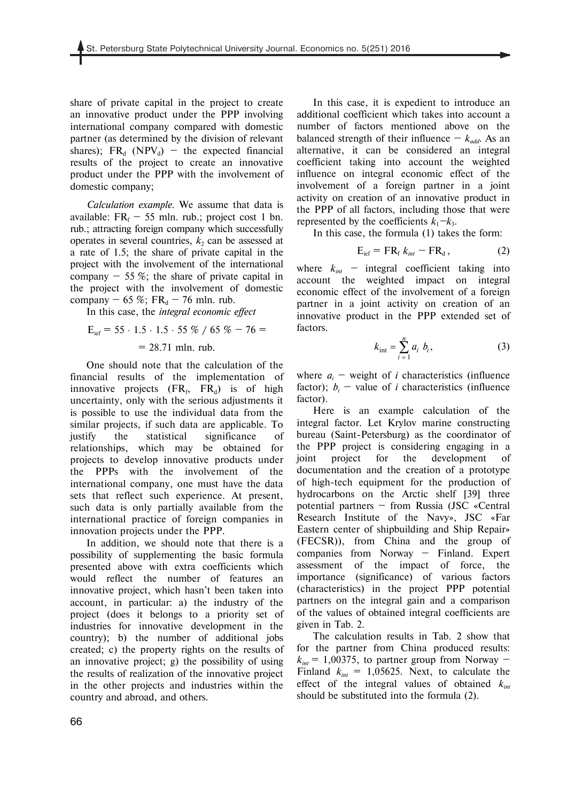share of private capital in the project to create an innovative product under the PPP involving international company compared with domestic partner (as determined by the division of relevant shares);  $FR_d$  (NPV<sub>d</sub>) – the expected financial results of the project to create an innovative product under the PPP with the involvement of domestic company;

*Calculation example*. We assume that data is available:  $FR_f$  – 55 mln. rub.; project cost 1 bn. rub.; attracting foreign company which successfully operates in several countries,  $k<sub>2</sub>$  can be assessed at a rate of 1.5; the share of private capital in the project with the involvement of the international company  $-55\%$ ; the share of private capital in the project with the involvement of domestic company  $-65\%$ ; FR<sub>d</sub>  $-76$  mln. rub.

In this case, the *integral economic effect*

$$
E_{\text{ief}} = 55 \cdot 1.5 \cdot 1.5 \cdot 55 \% / 65 \% - 76 =
$$

#### $= 28.71$  mln. rub.

One should note that the calculation of the financial results of the implementation of innovative projects  $(FR_f, FR_d)$  is of high uncertainty, only with the serious adjustments it is possible to use the individual data from the similar projects, if such data are applicable. To justify the statistical significance of relationships, which may be obtained for projects to develop innovative products under the PPPs with the involvement of the international company, one must have the data sets that reflect such experience. At present, such data is only partially available from the international practice of foreign companies in innovation projects under the PPP.

In addition, we should note that there is a possibility of supplementing the basic formula presented above with extra coefficients which would reflect the number of features an innovative project, which hasn't been taken into account, in particular: a) the industry of the project (does it belongs to a priority set of industries for innovative development in the country); b) the number of additional jobs created; c) the property rights on the results of an innovative project; g) the possibility of using the results of realization of the innovative project in the other projects and industries within the country and abroad, and others.

In this case, it is expedient to introduce an additional coefficient which takes into account a number of factors mentioned above on the balanced strength of their influence  $- k_{add}$ . As an alternative, it can be considered an integral coefficient taking into account the weighted influence on integral economic effect of the involvement of a foreign partner in a joint activity on creation of an innovative product in the PPP of all factors, including those that were represented by the coefficients  $k_1 - k_3$ .

In this case, the formula (1) takes the form:

$$
E_{\text{ief}} = FR_{\text{f}} k_{\text{int}} - FR_{\text{d}}, \qquad (2)
$$

where  $k_{int}$  – integral coefficient taking into account the weighted impact on integral economic effect of the involvement of a foreign partner in a joint activity on creation of an innovative product in the PPP extended set of factors.

$$
k_{\rm int} = \sum_{i=1}^{n} a_i \ b_i, \tag{3}
$$

where  $a_i$  – weight of *i* characteristics (influence factor);  $b_i$  – value of *i* characteristics (influence factor).

Here is an example calculation of the integral factor. Let Krylov marine constructing bureau (Saint-Petersburg) as the coordinator of the PPP project is considering engaging in a joint project for the development of documentation and the creation of a prototype of high-tech equipment for the production of hydrocarbons on the Arctic shelf [39] three potential partners — from Russia (JSC «Central Research Institute of the Navy», JSC «Far Eastern center of shipbuilding and Ship Repair» (FECSR)), from China and the group of companies from Norway — Finland. Expert assessment of the impact of force, the importance (significance) of various factors (characteristics) in the project PPP potential partners on the integral gain and a comparison of the values of obtained integral coefficients are given in Tab. 2.

The calculation results in Tab. 2 show that for the partner from China produced results:  $k_{int}$  = 1,00375, to partner group from Norway – Finland  $k_{int} = 1,05625$ . Next, to calculate the effect of the integral values of obtained  $k_{int}$ should be substituted into the formula (2).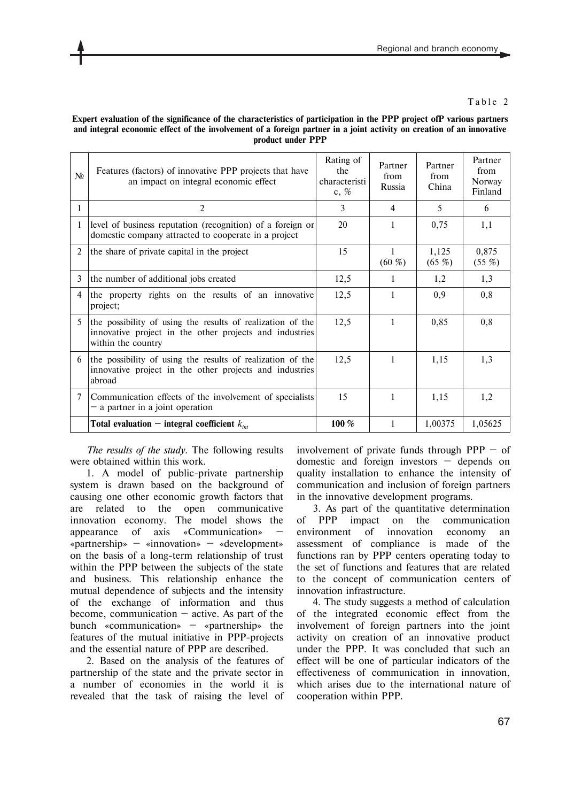### Table 2

### **Expert evaluation of the significance of the characteristics of participation in the PPP project ofP various partners and integral economic effect of the involvement of a foreign partner in a joint activity on creation of an innovative product under PPP**

| N <sub>0</sub> | Features (factors) of innovative PPP projects that have<br>an impact on integral economic effect                                            | Rating of<br>the<br>characteristi<br>c, $%$ | Partner<br>from<br>Russia | Partner<br>from<br>China | Partner<br>from<br>Norway<br>Finland |
|----------------|---------------------------------------------------------------------------------------------------------------------------------------------|---------------------------------------------|---------------------------|--------------------------|--------------------------------------|
| 1              | $\overline{c}$                                                                                                                              | 3                                           | $\overline{4}$            | 5                        | 6                                    |
|                | level of business reputation (recognition) of a foreign or<br>domestic company attracted to cooperate in a project                          | 20                                          | 1                         | 0,75                     | 1,1                                  |
| $\overline{2}$ | the share of private capital in the project                                                                                                 | 15                                          | 1<br>(60, %)              | 1,125<br>$(65 \%)$       | 0,875<br>$(55 \%)$                   |
| 3              | the number of additional jobs created                                                                                                       | 12,5                                        | 1                         | 1,2                      | 1,3                                  |
| $\overline{4}$ | the property rights on the results of an innovative<br>project;                                                                             | 12,5                                        | 1                         | 0,9                      | 0,8                                  |
| 5              | the possibility of using the results of realization of the<br>innovative project in the other projects and industries<br>within the country | 12,5                                        | 1                         | 0,85                     | 0,8                                  |
| 6              | the possibility of using the results of realization of the<br>innovative project in the other projects and industries<br>abroad             | 12,5                                        | 1                         | 1,15                     | 1,3                                  |
| 7              | Communication effects of the involvement of specialists<br>$-$ a partner in a joint operation                                               | 15                                          | 1                         | 1,15                     | 1,2                                  |
|                | Total evaluation – integral coefficient $k_{int}$                                                                                           | 100 %                                       | 1                         | 1,00375                  | 1,05625                              |

*The results of the study.* The following results were obtained within this work.

1. A model of public-private partnership system is drawn based on the background of causing one other economic growth factors that are related to the open communicative innovation economy. The model shows the appearance of axis «Communication» «partnership» — «innovation» — «development» on the basis of a long-term relationship of trust within the PPP between the subjects of the state and business. This relationship enhance the mutual dependence of subjects and the intensity of the exchange of information and thus become, communication  $-$  active. As part of the bunch «communication» — «partnership» the features of the mutual initiative in PPP-projects and the essential nature of PPP are described.

2. Based on the analysis of the features of partnership of the state and the private sector in a number of economies in the world it is revealed that the task of raising the level of

involvement of private funds through  $PPP - of$ domestic and foreign investors — depends on quality installation to enhance the intensity of communication and inclusion of foreign partners in the innovative development programs.

3. As part of the quantitative determination of PPP impact on the communication environment of innovation economy an assessment of compliance is made of the functions ran by PPP centers operating today to the set of functions and features that are related to the concept of communication centers of innovation infrastructure.

4. The study suggests a method of calculation of the integrated economic effect from the involvement of foreign partners into the joint activity on creation of an innovative product under the PPP. It was concluded that such an effect will be one of particular indicators of the effectiveness of communication in innovation, which arises due to the international nature of cooperation within PPP.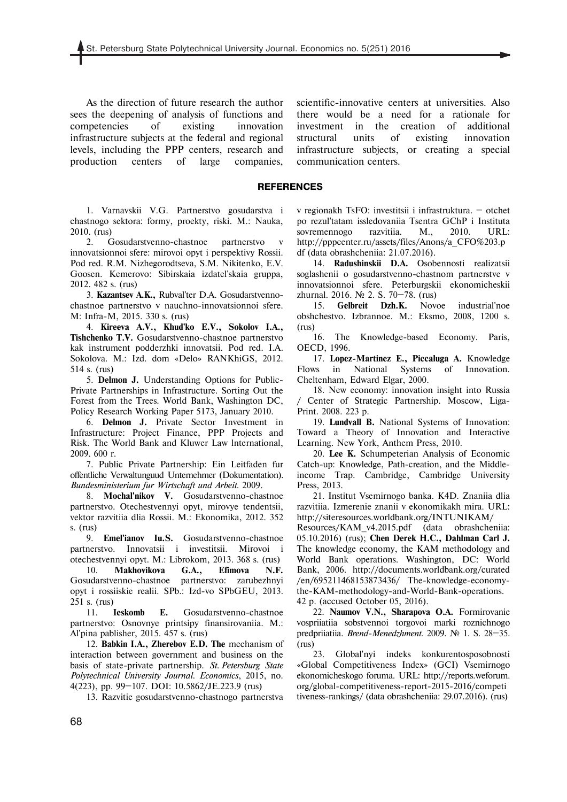As the direction of future research the author sees the deepening of analysis of functions and competencies of existing innovation infrastructure subjects at the federal and regional levels, including the PPP centers, research and production centers of large companies, scientific-innovative centers at universities. Also there would be a need for a rationale for investment in the creation of additional structural units of existing innovation infrastructure subjects, or creating a special communication centers.

#### **REFERENCES**

1. Varnavskii V.G. Partnerstvo gosudarstva i chastnogo sektora: formy, proekty, riski. M.: Nauka, 2010. (rus)

2. Gosudarstvenno-chastnoe partnerstvo v innovatsionnoi sfere: mirovoi opyt i perspektivy Rossii. Pod red. R.M. Nizhegorodtseva, S.M. Nikitenko, E.V. Goosen. Kemerovo: Sibirskaia izdatel'skaia gruppa, 2012. 482 s. (rus)

3. **Kazantsev A.K.,** Rubval'ter D.A. Gosudarstvennochastnoe partnerstvo v nauchno-innovatsionnoi sfere. M: Infra-M, 2015. 330 s. (rus)

4. **Kireeva A.V., Khud'ko E.V., Sokolov I.A., Tishchenko T.V.** Gosudarstvenno-chastnoe partnerstvo kak instrument podderzhki innovatsii. Pod red. I.A. Sokolova. M.: Izd. dom «Delo» RANKhiGS, 2012. 514 s. (rus)

5. **Delmon J.** Understanding Options for Public-Private Partnerships in Infrastructure. Sorting Out the Forest from the Trees. World Bank, Washington DC, Policy Research Working Paper 5173, January 2010.

6. **Delmon J.** Private Sector Investment in Infrastructure: Project Finance, PPP Projects and Risk. The World Bank and Kluwer Law lnternational, 2009. 600 r.

7. Public Private Partnership: Ein Leitfaden fur offentliche Verwaltunguud Unternehmer (Dokumentation). *Bundesministerium fur Wirtschaft und Arbeit*. 2009.

8. **Mochal'nikov V.** Gosudarstvenno-chastnoe partnerstvo. Otechestvennyi opyt, mirovye tendentsii, vektor razvitiia dlia Rossii. M.: Ekonomika, 2012. 352 s. (rus)

9. **Emel'ianov Iu.S.** Gosudarstvenno-chastnoe partnerstvo. Innovatsii i investitsii. Mirovoi i otechestvennyi opyt. M.: Librokom, 2013. 368 s. (rus)

10. **Makhovikova G.A., Efimova N.F.** Gosudarstvenno-chastnoe partnerstvo: zarubezhnyi opyt i rossiiskie realii. SPb.: Izd-vo SPbGEU, 2013. 251 s. (rus)

11. **Ieskomb E.** Gosudarstvenno-chastnoe partnerstvo: Osnovnye printsipy finansirovaniia. M.: Al'pina pablisher, 2015. 457 s. (rus)

12. **Babkin I.A., Zherebov E.D. The** mechanism of interaction between government and business on the basis of state-private partnership. *St. Petersburg State Polytechnical University Journal. Economics*, 2015, no. 4(223), pp. 99—107. DOI: 10.5862/JE.223.9 (rus)

13. Razvitie gosudarstvenno-chastnogo partnerstva

v regionakh TsFO: investitsii i infrastruktura. — otchet po rezul'tatam issledovaniia Tsentra GChP i Instituta sovremennogo razvitiia. M., 2010. URL: http://pppcenter.ru/assets/files/Anons/a\_CFO%203.p df (data obrashcheniia: 21.07.2016).

14. **Radushinskii D.A.** Osobennosti realizatsii soglashenii o gosudarstvenno-chastnom partnerstve v innovatsionnoi sfere. Peterburgskii ekonomicheskii zhurnal. 2016. № 2. S. 70—78. (rus)

15. **Gelbreit Dzh.K.** Novoe industrial'noe obshchestvo. Izbrannoe. M.: Eksmo, 2008, 1200 s. (rus)

16. The Knowledge-based Economy. Paris, OECD, 1996.

17. **Lopez-Martinez E., Piccaluga A.** Knowledge Flows in National Systems of Innovation. Cheltenham, Edward Elgar, 2000.

18. New economy: innovation insight into Russia Center of Strategic Partnership. Moscow, Liga-Print. 2008. 223 p.

19. **Lundvall B.** National Systems of Innovation: Toward a Theory of Innovation and Interactive Learning. New York, Anthem Press, 2010.

20. **Lee K.** Schumpeterian Analysis of Economic Catch-up: Knowledge, Path-creation, and the Middleincome Trap. Cambridge, Cambridge University Press, 2013.

21. Institut Vsemirnogo banka. K4D. Znaniia dlia razvitiia. Izmerenie znanii v ekonomikakh mira. URL: http://siteresources.worldbank.org/INTUNIKAM/

Resources/KAM\_v4.2015.pdf (data obrashcheniia: 05.10.2016) (rus); **Chen Derek H.C., Dahlman Carl J.**  The knowledge economy, the KAM methodology and World Bank operations. Washington, DC: World Bank, 2006. http://documents.worldbank.org/curated /en/695211468153873436/ The-knowledge-economythe-KAM-methodology-and-World-Bank-operations. 42 p. (accused October 05, 2016).

22. **Naumov V.N., Sharapova O.A.** Formirovanie vospriiatiia sobstvennoi torgovoi marki roznichnogo predpriiatiia. *Brend-Menedzhment.* 2009. № 1. S. 28—35. (rus)

23. Global'nyi indeks konkurentosposobnosti «Global Competitiveness Index» (GCI) Vsemirnogo ekonomicheskogo foruma. URL: http://reports.weforum. org/global-competitiveness-report-2015-2016/competi tiveness-rankings/ (data obrashcheniia: 29.07.2016). (rus)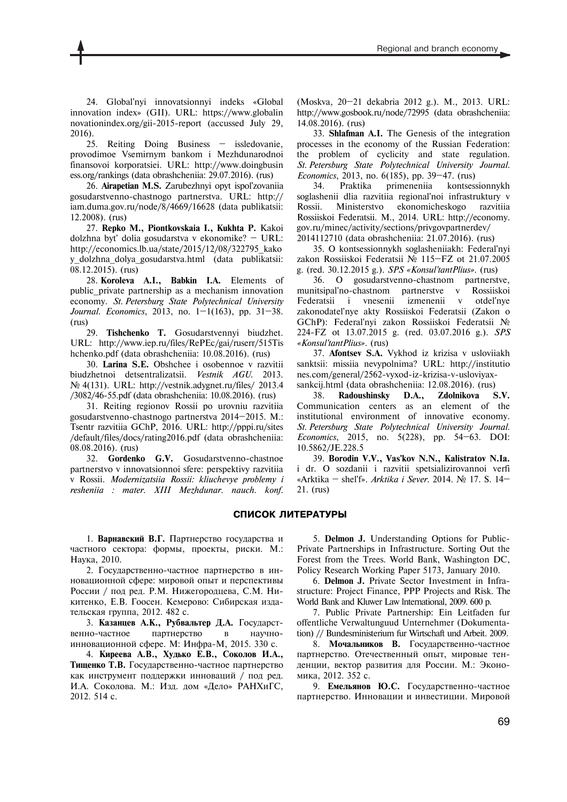25. Reiting Doing Business — issledovanie, provodimoe Vsemirnym bankom i Mezhdunarodnoi finansovoi korporatsiei. URL: http://www.doingbusin ess.org/rankings (data obrashcheniia: 29.07.2016). (rus)

26. **Airapetian M.S.** Zarubezhnyi opyt ispol'zovaniia gosudarstvenno-chastnogo partnerstva. URL: http:// iam.duma.gov.ru/node/8/4669/16628 (data publikatsii: 12.2008). (rus)

27. **Repko M., Piontkovskaia I., Kukhta P.** Kakoi dolzhna byt' dolia gosudarstva v ekonomike? — URL: http://economics.lb.ua/state/2015/12/08/322795\_kako y\_dolzhna\_dolya\_gosudarstva.html (data publikatsii: 08.12.2015). (rus)

28. **Koroleva A.I., Babkin I.A.** Elements of public\_private partnership as a mechanism innovation economy. *St. Petersburg State Polytechnical University Journal. Economics*, 2013, no. 1—1(163), pp. 31—38. (rus)

29. **Tishchenko T.** Gosudarstvennyi biudzhet. URL: http://www.iep.ru/files/RePEc/gai/ruserr/515Tis hchenko.pdf (data obrashcheniia: 10.08.2016). (rus)

30. **Larina S.E.** Obshchee i osobennoe v razvitii biudzhetnoi detsentralizatsii. *Vestnik AGU*. 2013. № 4(131). URL: http://vestnik.adygnet.ru/files/ 2013.4 /3082/46-55.pdf (data obrashcheniia: 10.08.2016). (rus)

31. Reiting regionov Rossii po urovniu razvitiia gosudarstvenno-chastnogo partnerstva 2014—2015. M.: Tsentr razvitiia GChP, 2016. URL: http://pppi.ru/sites /default/files/docs/rating2016.pdf (data obrashcheniia: 08.08.2016). (rus)

32. **Gordenko G.V.** Gosudarstvenno-chastnoe partnerstvo v innovatsionnoi sfere: perspektivy razvitiia v Rossii. *Modernizatsiia Rossii: kliuchevye problemy i resheniia : mater. XIII Mezhdunar. nauch. konf.* (Moskva, 20—21 dekabria 2012 g.). M., 2013. URL: http://www.gosbook.ru/node/72995 (data obrashcheniia: 14.08.2016). (rus)

33. **Shlafman А.I.** The Genesis of the integration processes in the economy of the Russian Federation: the problem of cyclicity and state regulation. *St. Petersburg State Polytechnical University Journal. Economics*, 2013, no. 6(185), pp. 39—47. (rus)

34. Praktika primeneniia kontsessionnykh soglashenii dlia razvitiia regional'noi infrastruktury v Rossii. Ministerstvo ekonomicheskogo razvitiia Rossiiskoi Federatsii. M., 2014. URL: http://economy. gov.ru/minec/activity/sections/privgovpartnerdev/ 2014112710 (data obrashcheniia: 21.07.2016). (rus)

35. O kontsessionnykh soglasheniiakh: Federal'nyi zakon Rossiiskoi Federatsii № 115—FZ ot 21.07.2005 g. (red. 30.12.2015 g.). *SPS «Konsul'tantPlius».* (rus)

36. O gosudarstvenno-chastnom partnerstve, munitsipal'no-chastnom partnerstve v Rossiiskoi Federatsii i vnesenii izmenenii v otdel'nye zakonodatel'nye akty Rossiiskoi Federatsii (Zakon o GChP): Federal'nyi zakon Rossiiskoi Federatsii № 224-FZ ot 13.07.2015 g. (red. 03.07.2016 g.). *SPS «Konsul'tantPlius».* (rus)

37. **Afontsev S.A.** Vykhod iz krizisa v usloviiakh sanktsii: missiia nevypolnima? URL: http://institutio nes.com/general/2562-vyxod-iz-krizisa-v-usloviyaxsankcij.html (data obrashcheniia: 12.08.2016). (rus)

38. **Radoushinsky D.A., Zdolnikova S.V.**  Сommunication centers as an element of the institutional environment of innovative economy. *St. Petersburg State Polytechnical University Journal. Economics*, 2015, no. 5(228), pp. 54—63. DOI: 10.5862/JE.228.5

39. **Borodin V.V., Vas'kov N.N., Kalistratov N.Ia.** i dr. O sozdanii i razvitii spetsializirovannoi verfi «Arktika — shel'f». *Arktika i Sever*. 2014. № 17. S. 14— 21. (rus)

## **СПИСОК ЛИТЕРАТУРЫ**

1. **Варнавский В.Г.** Партнерство государства и частного сектора: формы, проекты, риски. М.: Наука, 2010.

2. Государственно-частное партнерство в инновационной сфере: мировой опыт и перспективы России / под ред. Р.М. Нижегородцева, С.М. Никитенко, Е.В. Гоосен. Кемерово: Сибирская издательская группа, 2012. 482 с.

3. **Казанцев А.К., Рубвальтер Д.А.** Государственно-частное партнерство в научноинновационной сфере. М: Инфра-М, 2015. 330 с.

4. **Киреева А.В., Худько Е.В., Соколов И.А., Тищенко Т.В.** Государственно-частное партнерство как инструмент поддержки инноваций / под ред. И.А. Соколова. М.: Изд. дом «Дело» РАНХиГС, 2012. 514 с.

5. **Delmon J.** Understanding Options for Public-Private Partnerships in Infrastructure. Sorting Out the Forest from the Trees. World Bank, Washington DC, Policy Research Working Paper 5173, January 2010.

6. **Delmon J.** Private Sector Investment in Infrastructure: Project Finance, PPP Projects and Risk. The World Bank and Kluwer Law lnternational, 2009. 600 р.

7. Public Private Partnership: Ein Leitfaden fur offentliche Verwaltunguud Unternehmer (Dokumentation) // Bundesministerium fur Wirtschaft und Arbeit. 2009.

8. **Мочальников В.** Государственно-частное партнерство. Отечественный опыт, мировые тенденции, вектор развития для России. М.: Экономика, 2012. 352 с.

9. **Емельянов Ю.С.** Государственно-частное партнерство. Инновации и инвестиции. Мировой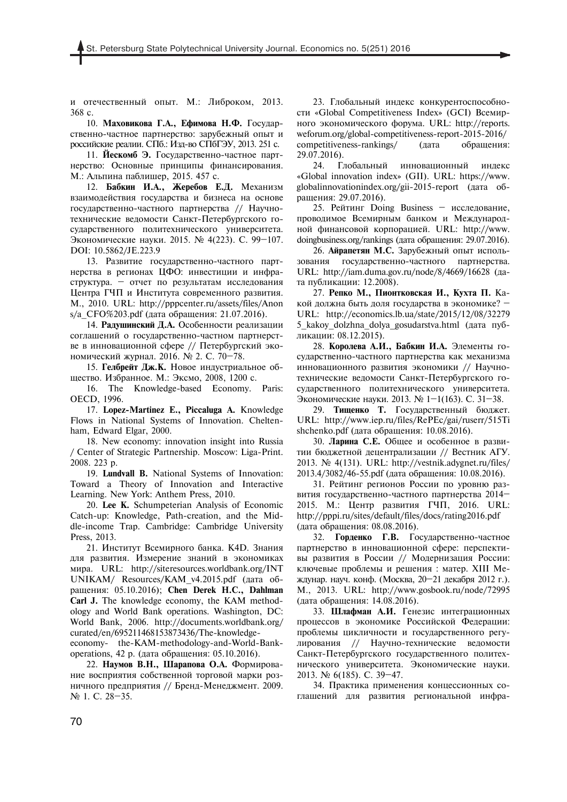и отечественный опыт. М.: Либроком, 2013. 368 с.

10. **Маховикова Г.А., Ефимова Н.Ф.** Государственно-частное партнерство: зарубежный опыт и российские реалии. СПб.: Изд-во СПбГЭУ, 2013. 251 с.

11. **Йескомб Э.** Государственно-частное партнерство: Основные принципы финансирования. М.: Альпина паблишер, 2015. 457 с.

12. **Бабкин И.А., Жеребов Е.Д.** Механизм взаимодействия государства и бизнеса на основе государственно-частного партнерства // Научнотехнические ведомости Санкт-Петербургского государственного политехнического университета. Экономические науки. 2015. № 4(223). С. 99—107. DOI: 10.5862/JE.223.9

13. Развитие государственно-частного партнерства в регионах ЦФО: инвестиции и инфраструктура. — отчет по результатам исследования Центра ГЧП и Института современного развития. М., 2010. URL: http://pppcenter.ru/assets/files/Anon s/a CFO%203.pdf (дата обращения: 21.07.2016).

14. **Радушинский Д.А.** Особенности реализации соглашений о государственно-частном партнерстве в инновационной сфере // Петербургский экономический журнал. 2016. № 2. С. 70—78.

15. **Гелбрейт Дж.К.** Новое индустриальное общество. Избранное. М.: Эксмо, 2008, 1200 с.

16. The Knowledge-based Economy. Paris: OECD, 1996.

17. **Lopez-Martinez E., Piccaluga A.** Knowledge Flows in National Systems of Innovation. Cheltenham, Edward Elgar, 2000.

18. New economy: innovation insight into Russia / Center of Strategic Partnership. Moscow: Liga-Print. 2008. 223 p.

19. **Lundvall B.** National Systems of Innovation: Toward a Theory of Innovation and Interactive Learning. New York: Anthem Press, 2010.

20. **Lee K.** Schumpeterian Analysis of Economic Catch-up: Knowledge, Path-creation, and the Middle-income Trap. Cambridge: Cambridge University Press, 2013.

21. Институт Всемирного банка. K4D. Знания для развития. Измерение знаний в экономиках мира. URL: http://siteresources.worldbank.org/INT UNIKAM/ Resources/KAM\_v4.2015.pdf (дата обращения: 05.10.2016); **Chen Derek H.C., Dahlman Carl J.** The knowledge economy, the KAM methodology and World Bank operations. Washington, DC: World Bank, 2006. http://documents.worldbank.org/ curated/en/695211468153873436/The-knowledgeeconomy- the-KAM-methodology-and-World-Bank-

operations, 42 р. (дата обращения: 05.10.2016). 22. **Наумов В.Н., Шарапова О.А.** Формирование восприятия собственной торговой марки розничного предприятия // Бренд-Менеджмент. 2009. № 1. С. 28—35.

23. Глобальный индекс конкурентоспособности «Global Competitiveness Index» (GCI) Всемирного экономического форума. URL: http://reports. weforum.org/global-competitiveness-report-2015-2016/ competitiveness-rankings/ (дата обращения: 29.07.2016).

24. Глобальный инновационный индекс «Global innovation index» (GII). URL: https://www. globalinnovationindex.org/gii-2015-report (дата обращения: 29.07.2016).

25. Рейтинг Doing Business — исследование, проводимое Всемирным банком и Международной финансовой корпорацией. URL: http://www. doingbusiness.org/rankings (дата обращения: 29.07.2016).

26. **Айрапетян М.С.** Зарубежный опыт использования государственно-частного партнерства. URL: http://iam.duma.gov.ru/node/8/4669/16628 (дата публикации: 12.2008).

27. **Репко М., Пионтковская И., Кухта П.** Какой должна быть доля государства в экономике? — URL: http://economics.lb.ua/state/2015/12/08/32279 5\_kakoy\_dolzhna\_dolya\_gosudarstva.html (дата публикации: 08.12.2015).

28. **Королева А.И., Бабкин И.А.** Элементы государственно-частного партнерства как механизма инновационного развития экономики // Научнотехнические ведомости Санкт-Петербургского государственного политехнического университета. Экономические науки. 2013. № 1—1(163). С. 31—38.

29. **Тищенко Т.** Государственный бюджет. URL: http://www.iep.ru/files/RePEc/gai/ruserr/515Ti shchenko.pdf (дата обращения: 10.08.2016).

30. **Ларина С.Е.** Общее и особенное в развитии бюджетной децентрализации // Вестник АГУ. 2013. № 4(131). URL: http://vestnik.adygnet.ru/files/ 2013.4/3082/46-55.pdf (дата обращения: 10.08.2016).

31. Рейтинг регионов России по уровню развития государственно-частного партнерства 2014— 2015. М.: Центр развития ГЧП, 2016. URL: http://pppi.ru/sites/default/files/docs/rating2016.pdf (дата обращения: 08.08.2016).

32. **Горденко Г.В.** Государственно-частное партнерство в инновационной сфере: перспективы развития в России // Модернизация России: ключевые проблемы и решения : матер. XIII Междунар. науч. конф. (Москва, 20—21 декабря 2012 г.). М., 2013. URL: http://www.gosbook.ru/node/72995 (дата обращения: 14.08.2016).

33. **Шлафман А.И.** Генезис интеграционных процессов в экономике Российской Федерации: проблемы цикличности и государственного регулирования // Научно-технические ведомости Санкт-Петербургского государственного политехнического университета. Экономические науки. 2013. № 6(185). С. 39—47.

34. Практика применения концессионных соглашений для развития региональной инфра